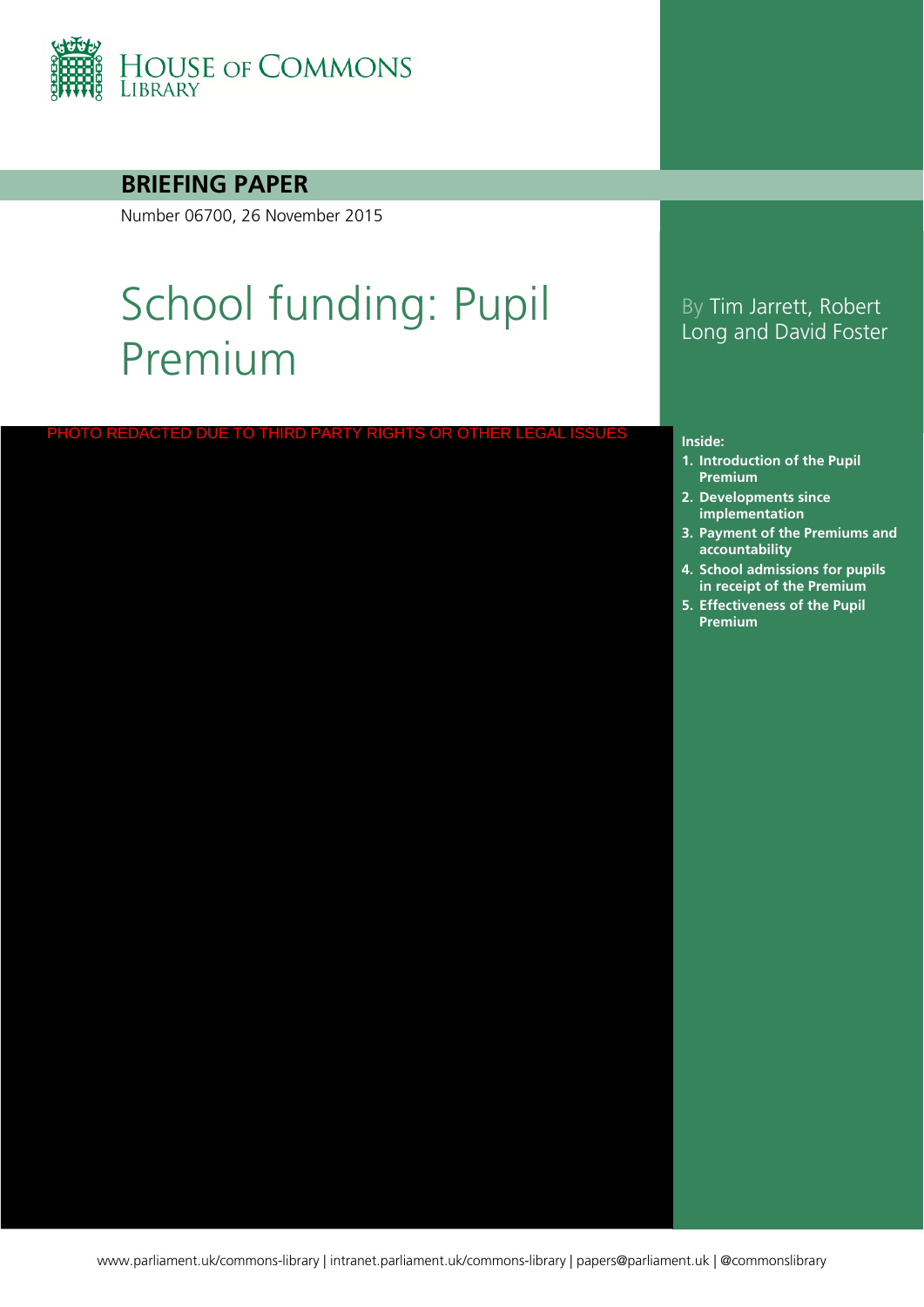

### **BRIEFING PAPER**

Number 06700, 26 November 2015

# School funding: Pupil Premium

PHOTO REDACTED DUE TO THIRD PARTY RIGHTS OR OTHER LE

### By Tim Jarrett, Robert Long and David Foster

#### **Inside:**

- **1. [Introduction of the Pupil](#page-3-0)  Premium**
- **2. Developments since implementation**
- **3. Payment of the Premiums and accountability**
- **4. School admissions for pupils in receipt of the Premium**
- **5. Effectiveness of the Pupil Premium**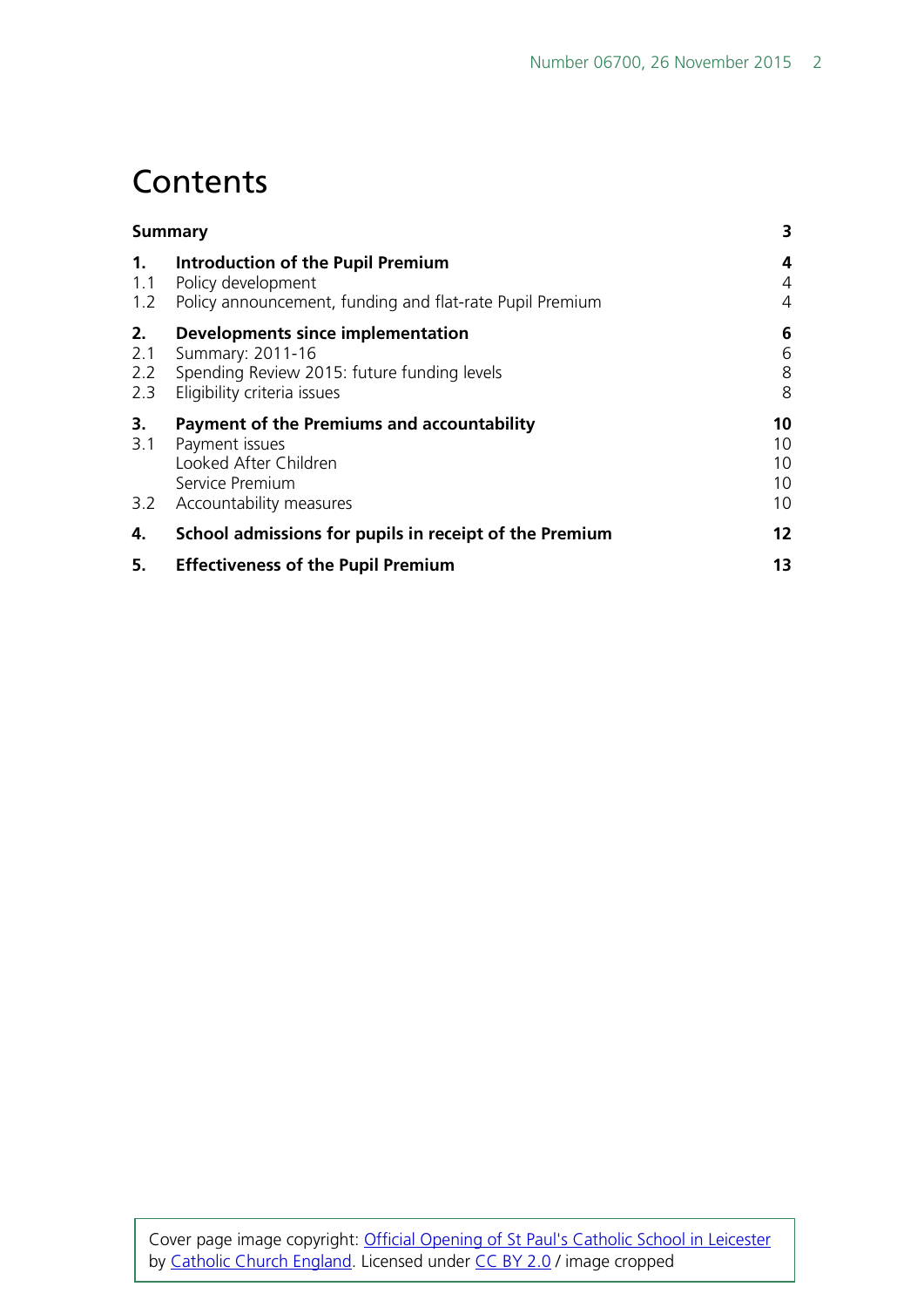## **Contents**

| Summary                 |                                                                                                                                     | 3                          |
|-------------------------|-------------------------------------------------------------------------------------------------------------------------------------|----------------------------|
| 1.<br>1.1<br>1.2        | <b>Introduction of the Pupil Premium</b><br>Policy development<br>Policy announcement, funding and flat-rate Pupil Premium          | 4<br>4<br>4                |
| 2.<br>2.1<br>2.2<br>2.3 | Developments since implementation<br>Summary: 2011-16<br>Spending Review 2015: future funding levels<br>Eligibility criteria issues | 6<br>6<br>8<br>8           |
| 3.<br>3.1<br>3.2        | Payment of the Premiums and accountability<br>Payment issues<br>Looked After Children<br>Service Premium<br>Accountability measures | 10<br>10<br>10<br>10<br>10 |
| 4.                      | School admissions for pupils in receipt of the Premium                                                                              | 12 <sup>2</sup>            |
| 5.                      | <b>Effectiveness of the Pupil Premium</b>                                                                                           | 13                         |

Cover page image copyright: [Official Opening of St Paul's Catholic School in Leicester](https://www.flickr.com/photos/catholicism/16468633404/in/photolist-r6h3Xf-rKGV8L-s39HAw-rKFDJu-r6u43R-rKEfYG-nsTGgs-ad7xgp-9e4gXq-9uEcAJ-qrJGXJ-eepbm-6rcN13-5i9SLE-7Dkdgq-tQX4oR-mr81Y3-4kudXv-9H4VtM-gXHe1d-6Ya6wF-otXYGN-6HPwgi-7oBZwz-8eCKgN-sry38Y-6y4D85-rUtJdM-dZgc3Q-7ZMFCk-9u1Hrn-k7hLbk-87RBa8-dtZLj9-uyCEXn-a2NMC9-5RpyJF-e7gFa-4gEeri-9F5f4s-8RCnVm-pNdKo8-e5xi47-9VpaoU-9UGjcG-5qQmNL-89TAR6-dEuSpJ-quL4iA-fYs8c) by [Catholic Church England.](https://www.flickr.com/photos/catholicism/) Licensed under [CC BY 2.0](https://creativecommons.org/licenses/by-nc-sa/2.0/) / image cropped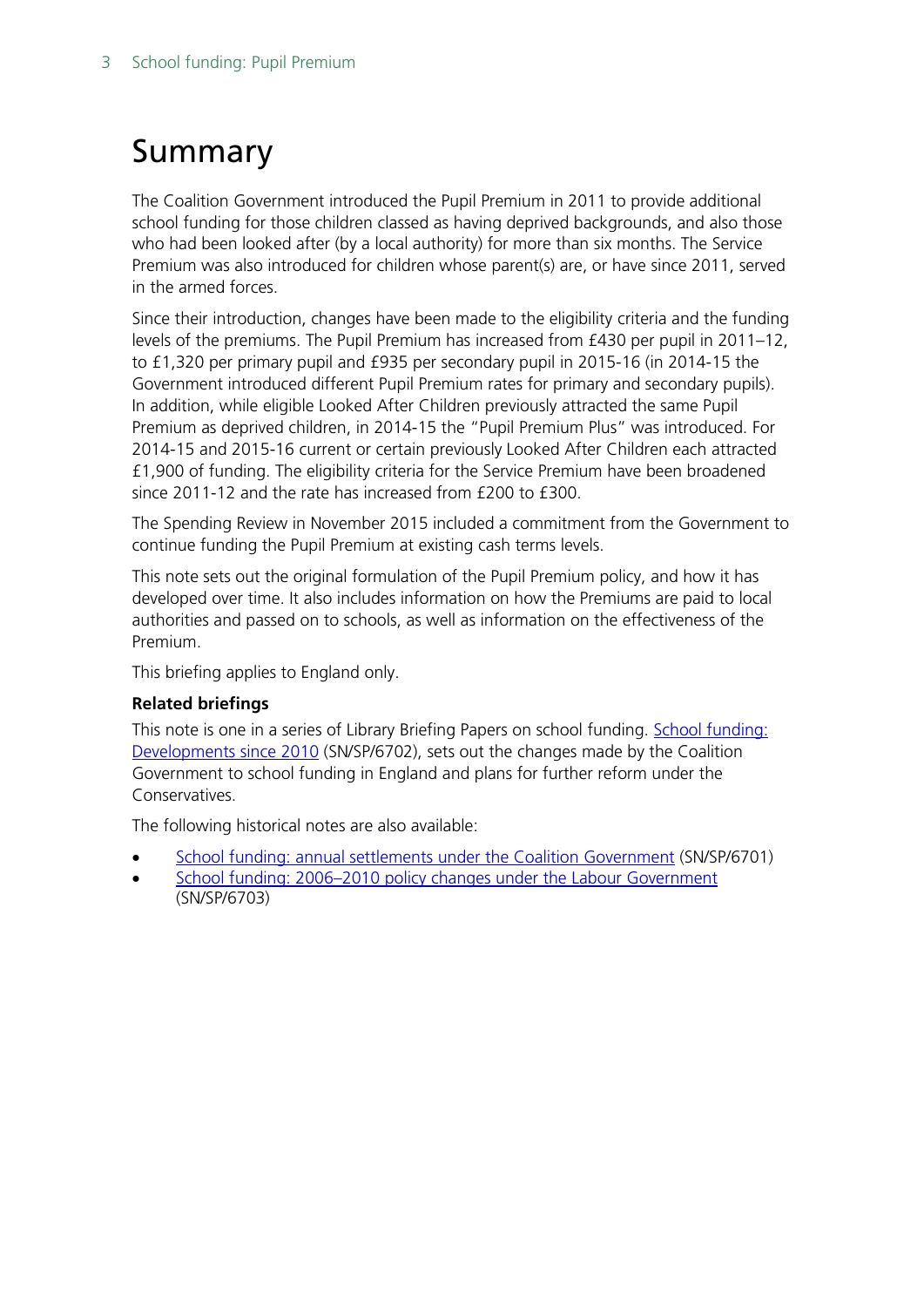## <span id="page-2-0"></span>Summary

The Coalition Government introduced the Pupil Premium in 2011 to provide additional school funding for those children classed as having deprived backgrounds, and also those who had been looked after (by a local authority) for more than six months. The Service Premium was also introduced for children whose parent(s) are, or have since 2011, served in the armed forces.

Since their introduction, changes have been made to the eligibility criteria and the funding levels of the premiums. The Pupil Premium has increased from £430 per pupil in 2011–12, to £1,320 per primary pupil and £935 per secondary pupil in 2015-16 (in 2014-15 the Government introduced different Pupil Premium rates for primary and secondary pupils). In addition, while eligible Looked After Children previously attracted the same Pupil Premium as deprived children, in 2014-15 the "Pupil Premium Plus" was introduced. For 2014-15 and 2015-16 current or certain previously Looked After Children each attracted £1,900 of funding. The eligibility criteria for the Service Premium have been broadened since 2011-12 and the rate has increased from £200 to £300.

The Spending Review in November 2015 included a commitment from the Government to continue funding the Pupil Premium at existing cash terms levels.

This note sets out the original formulation of the Pupil Premium policy, and how it has developed over time. It also includes information on how the Premiums are paid to local authorities and passed on to schools, as well as information on the effectiveness of the Premium.

This briefing applies to England only.

### **Related briefings**

This note is one in a series of Library Briefing Papers on school funding. [School funding:](http://www.parliament.uk/briefing-papers/SN06702.pdf) [Developments](http://www.parliament.uk/briefing-papers/SN06702.pdf) since 2010 (SN/SP/6702), sets out the changes made by the Coalition Government to school funding in England and plans for further reform under the Conservatives.

The following historical notes are also available:

- [School funding: annual settlements under the Coalition Government](http://www.parliament.uk/briefing-papers/SN06701.pdf) (SN/SP/6701)
- [School funding: 2006–2010 policy changes under the Labour Government](http://www.parliament.uk/briefing-papers/SN06703.pdf) (SN/SP/6703)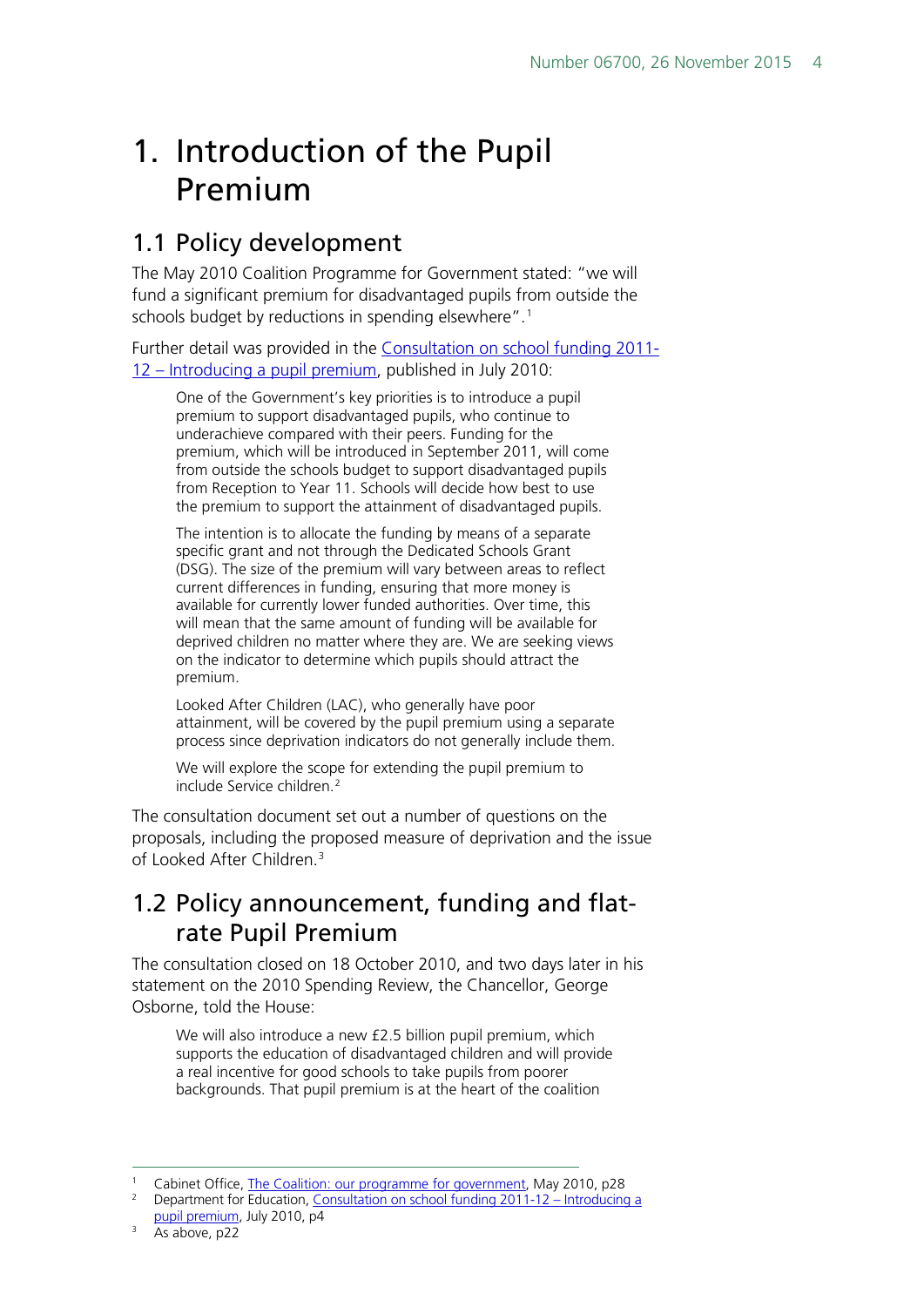## <span id="page-3-0"></span>1. Introduction of the Pupil Premium

## <span id="page-3-1"></span>1.1 Policy development

The May 2010 Coalition Programme for Government stated: "we will fund a significant premium for disadvantaged pupils from outside the schools budget by reductions in spending elsewhere".<sup>[1](#page-3-3)</sup>

Further detail was provided in the [Consultation on school funding 2011-](http://www.education.gov.uk/consultations/downloadableDocs/School%20Funding%20Consultation%20Document.pdf) 12 – [Introducing a pupil premium,](http://www.education.gov.uk/consultations/downloadableDocs/School%20Funding%20Consultation%20Document.pdf) published in July 2010:

One of the Government's key priorities is to introduce a pupil premium to support disadvantaged pupils, who continue to underachieve compared with their peers. Funding for the premium, which will be introduced in September 2011, will come from outside the schools budget to support disadvantaged pupils from Reception to Year 11. Schools will decide how best to use the premium to support the attainment of disadvantaged pupils.

The intention is to allocate the funding by means of a separate specific grant and not through the Dedicated Schools Grant (DSG). The size of the premium will vary between areas to reflect current differences in funding, ensuring that more money is available for currently lower funded authorities. Over time, this will mean that the same amount of funding will be available for deprived children no matter where they are. We are seeking views on the indicator to determine which pupils should attract the premium.

Looked After Children (LAC), who generally have poor attainment, will be covered by the pupil premium using a separate process since deprivation indicators do not generally include them.

We will explore the scope for extending the pupil premium to include Service children.<sup>[2](#page-3-4)</sup>

The consultation document set out a number of questions on the proposals, including the proposed measure of deprivation and the issue of Looked After Children<sup>[3](#page-3-5)</sup>

## <span id="page-3-2"></span>1.2 Policy announcement, funding and flatrate Pupil Premium

The consultation closed on 18 October 2010, and two days later in his statement on the 2010 Spending Review, the Chancellor, George Osborne, told the House:

We will also introduce a new £2.5 billion pupil premium, which supports the education of disadvantaged children and will provide a real incentive for good schools to take pupils from poorer backgrounds. That pupil premium is at the heart of the coalition

<span id="page-3-4"></span><span id="page-3-3"></span>Cabinet Office[, The Coalition: our programme for government,](http://www.cabinetoffice.gov.uk/sites/default/files/resources/coalition_programme_for_government.pdf) May 2010, p28

<sup>2</sup> Department for Education[, Consultation on school funding 2011-12 –](http://www.education.gov.uk/consultations/downloadableDocs/School%20Funding%20Consultation%20Document.pdf) Introducing a [pupil premium,](http://www.education.gov.uk/consultations/downloadableDocs/School%20Funding%20Consultation%20Document.pdf) July 2010, p4

<span id="page-3-5"></span> $3$  As above, p22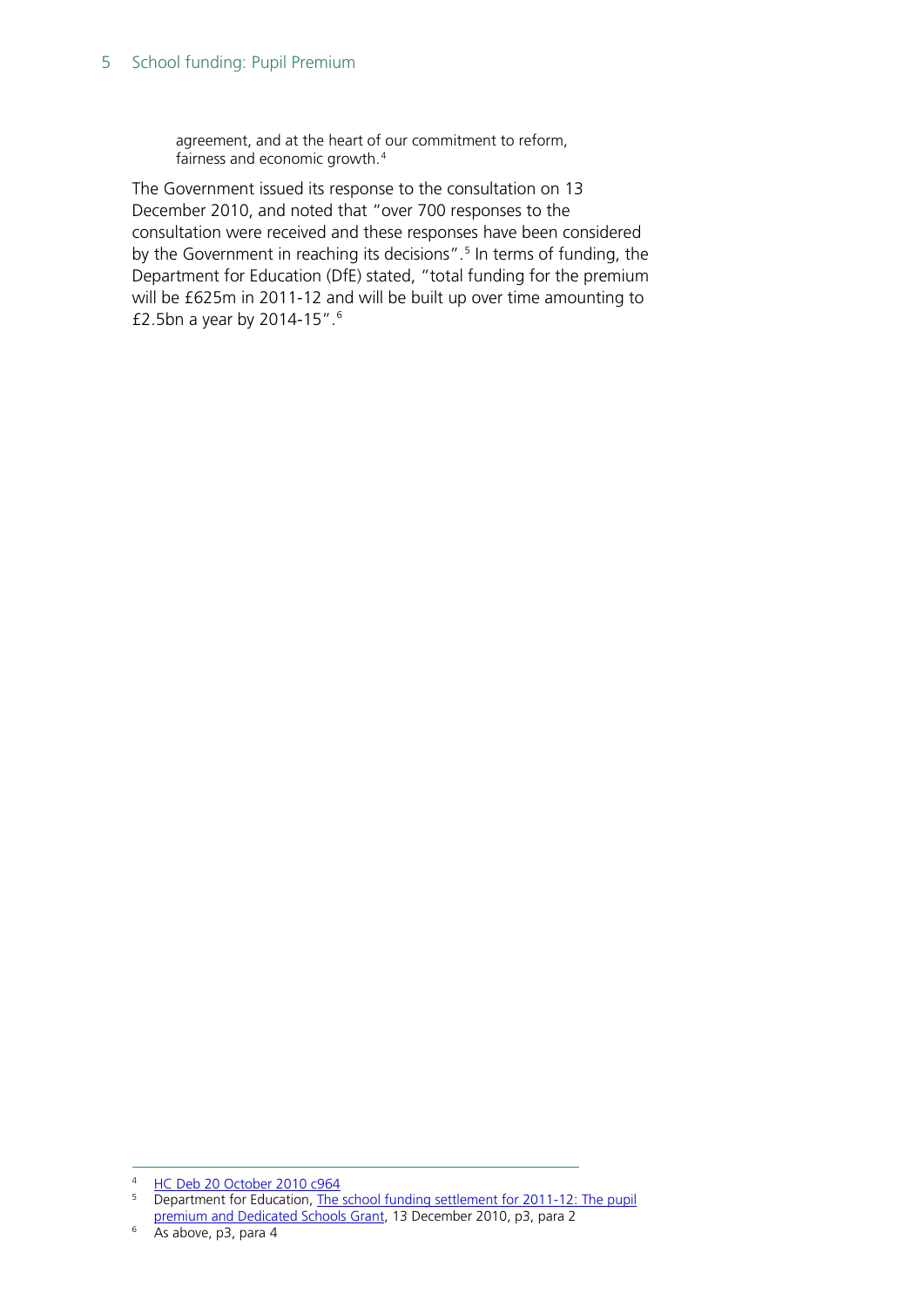agreement, and at the heart of our commitment to reform, fairness and economic growth.[4](#page-4-0)

The Government issued its response to the consultation on 13 December 2010, and noted that "over 700 responses to the consultation were received and these responses have been considered by the Government in reaching its decisions".<sup>[5](#page-4-1)</sup> In terms of funding, the Department for Education (DfE) stated, "total funding for the premium will be £625m in 2011-12 and will be built up over time amounting to £2.5bn a year by 2014-15".[6](#page-4-2)

<span id="page-4-1"></span><span id="page-4-0"></span><sup>&</sup>lt;sup>4</sup> [HC Deb 20 October 2010 c964](http://www.publications.parliament.uk/pa/cm201011/cmhansrd/cm101020/debtext/101020-0001.htm#10102049000186)

**Department for Education, The school funding settlement for 2011-12: The pupil** [premium and Dedicated Schools Grant,](http://media.education.gov.uk/assets/files/pdf/t/the%20school%20funding%20settlement%20for%202011%2012%20the%20pupil%20premium%20and%20dedicated%20schools%20grant.pdf) 13 December 2010, p3, para 2

<span id="page-4-2"></span> $6\quad$ As above, p3, para 4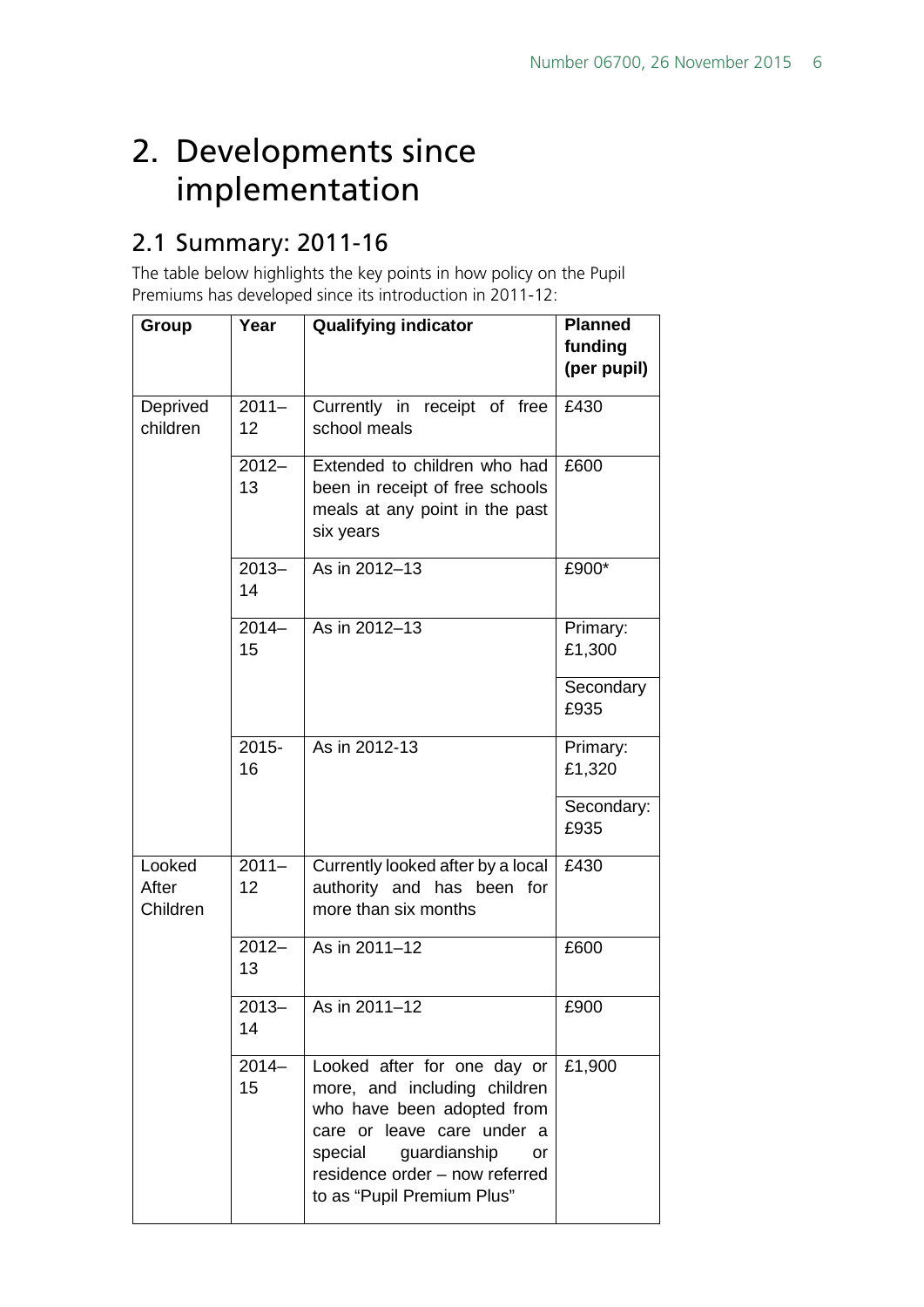## <span id="page-5-0"></span>2. Developments since implementation

## <span id="page-5-1"></span>2.1 Summary: 2011-16

The table below highlights the key points in how policy on the Pupil Premiums has developed since its introduction in 2011-12:

| Group                       | Year           | <b>Qualifying indicator</b>                                                                                                                                                                                              | <b>Planned</b><br>funding<br>(per pupil) |
|-----------------------------|----------------|--------------------------------------------------------------------------------------------------------------------------------------------------------------------------------------------------------------------------|------------------------------------------|
| Deprived<br>children        | $2011 -$<br>12 | Currently in receipt of free<br>school meals                                                                                                                                                                             | £430                                     |
|                             | $2012 -$<br>13 | Extended to children who had<br>been in receipt of free schools<br>meals at any point in the past<br>six years                                                                                                           | £600                                     |
|                             | $2013 -$<br>14 | As in 2012-13                                                                                                                                                                                                            | £900*                                    |
|                             | $2014 -$<br>15 | As in 2012-13                                                                                                                                                                                                            | Primary:<br>£1,300                       |
|                             |                |                                                                                                                                                                                                                          | Secondary<br>£935                        |
|                             | $2015 -$<br>16 | As in 2012-13                                                                                                                                                                                                            | Primary:<br>£1,320                       |
|                             |                |                                                                                                                                                                                                                          | Secondary:<br>£935                       |
| Looked<br>After<br>Children | $2011 -$<br>12 | Currently looked after by a local<br>authority and has been for<br>more than six months                                                                                                                                  | £430                                     |
|                             | $2012 -$<br>13 | As in 2011-12                                                                                                                                                                                                            | £600                                     |
|                             | 2013-<br>14    | As in 2011-12                                                                                                                                                                                                            | £900                                     |
|                             | $2014 -$<br>15 | Looked after for one day or<br>more, and including children<br>who have been adopted from<br>care or leave care under a<br>guardianship<br>special<br>or<br>residence order - now referred<br>to as "Pupil Premium Plus" | £1,900                                   |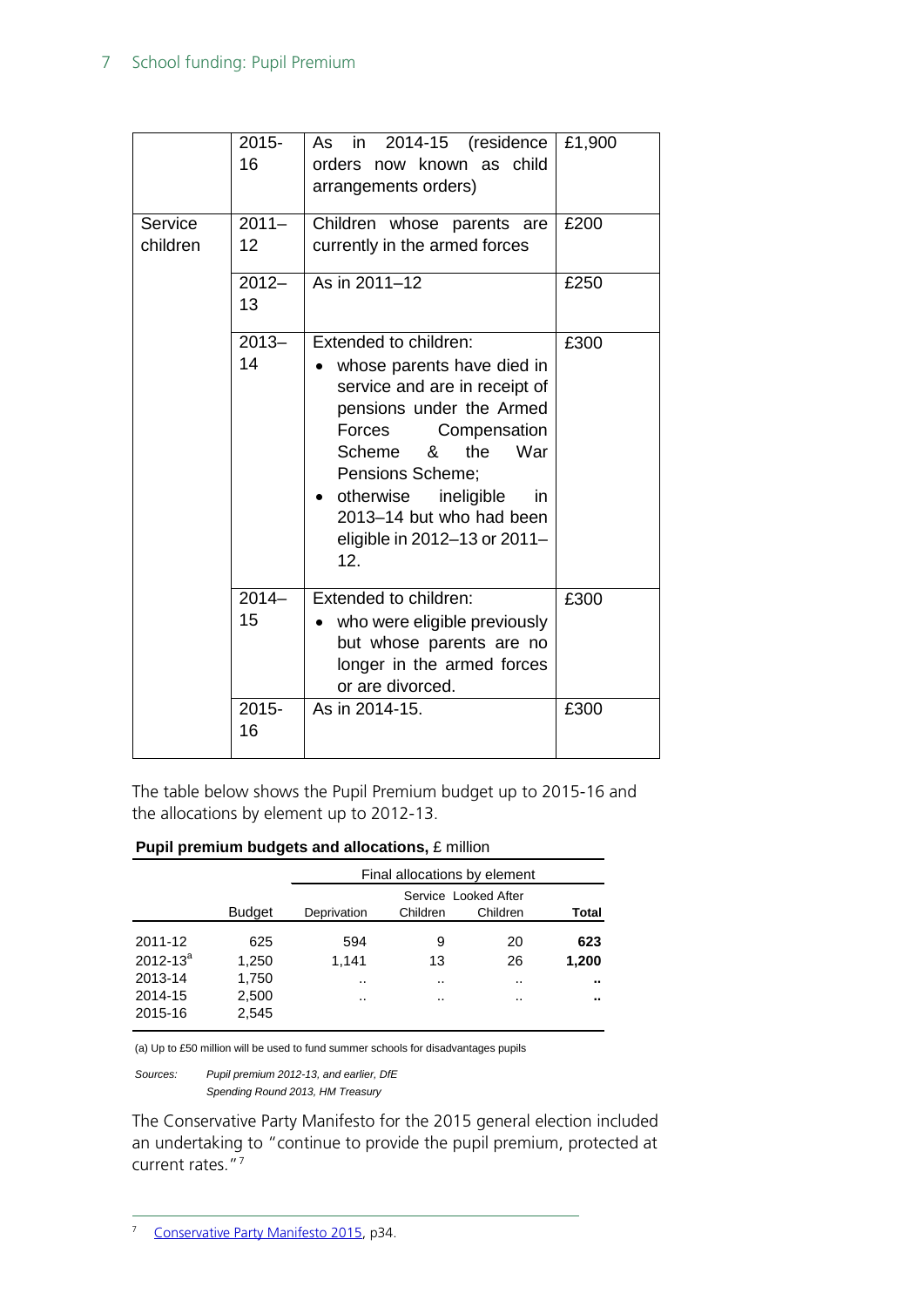|                     | $2015 -$<br>16 | 2014-15<br>in<br>(residence<br>As<br>now known as child<br>orders<br>arrangements orders)                                                                                                                                                                                                    | £1,900 |
|---------------------|----------------|----------------------------------------------------------------------------------------------------------------------------------------------------------------------------------------------------------------------------------------------------------------------------------------------|--------|
| Service<br>children | $2011 -$<br>12 | Children whose parents are<br>currently in the armed forces                                                                                                                                                                                                                                  | £200   |
|                     | $2012 -$<br>13 | As in 2011-12                                                                                                                                                                                                                                                                                | £250   |
|                     | $2013 -$<br>14 | Extended to children:<br>whose parents have died in<br>service and are in receipt of<br>pensions under the Armed<br>Forces<br>Compensation<br>Scheme &<br>the<br>War<br>Pensions Scheme;<br>otherwise<br>ineligible<br>in<br>2013-14 but who had been<br>eligible in 2012-13 or 2011-<br>12. | £300   |
|                     | $2014 -$<br>15 | Extended to children:<br>who were eligible previously<br>but whose parents are no<br>longer in the armed forces<br>or are divorced.                                                                                                                                                          | £300   |
|                     | $2015 -$<br>16 | As in 2014-15.                                                                                                                                                                                                                                                                               | £300   |

The table below shows the Pupil Premium budget up to 2015-16 and the allocations by element up to 2012-13.

#### **Pupil premium budgets and allocations,** £ million

|                               |                         | Final allocations by element |             |                                  |              |
|-------------------------------|-------------------------|------------------------------|-------------|----------------------------------|--------------|
|                               | <b>Budget</b>           | Deprivation                  | Children    | Service Looked After<br>Children | Total        |
| 2011-12<br>$2012 - 13^{a}$    | 625<br>1.250            | 594<br>1.141                 | 9<br>13     | 20<br>26                         | 623<br>1,200 |
| 2013-14<br>2014-15<br>2015-16 | 1,750<br>2,500<br>2,545 | <br>                         | $\cdot$<br> | $\cdot$<br>                      | <br>         |

(a) Up to £50 million will be used to fund summer schools for disadvantages pupils

*Sources: Pupil premium 2012-13, and earlier, DfE Spending Round 2013, HM Treasury*

<span id="page-6-0"></span>The Conservative Party Manifesto for the 2015 general election included an undertaking to "continue to provide the pupil premium, protected at current rates."[7](#page-6-0)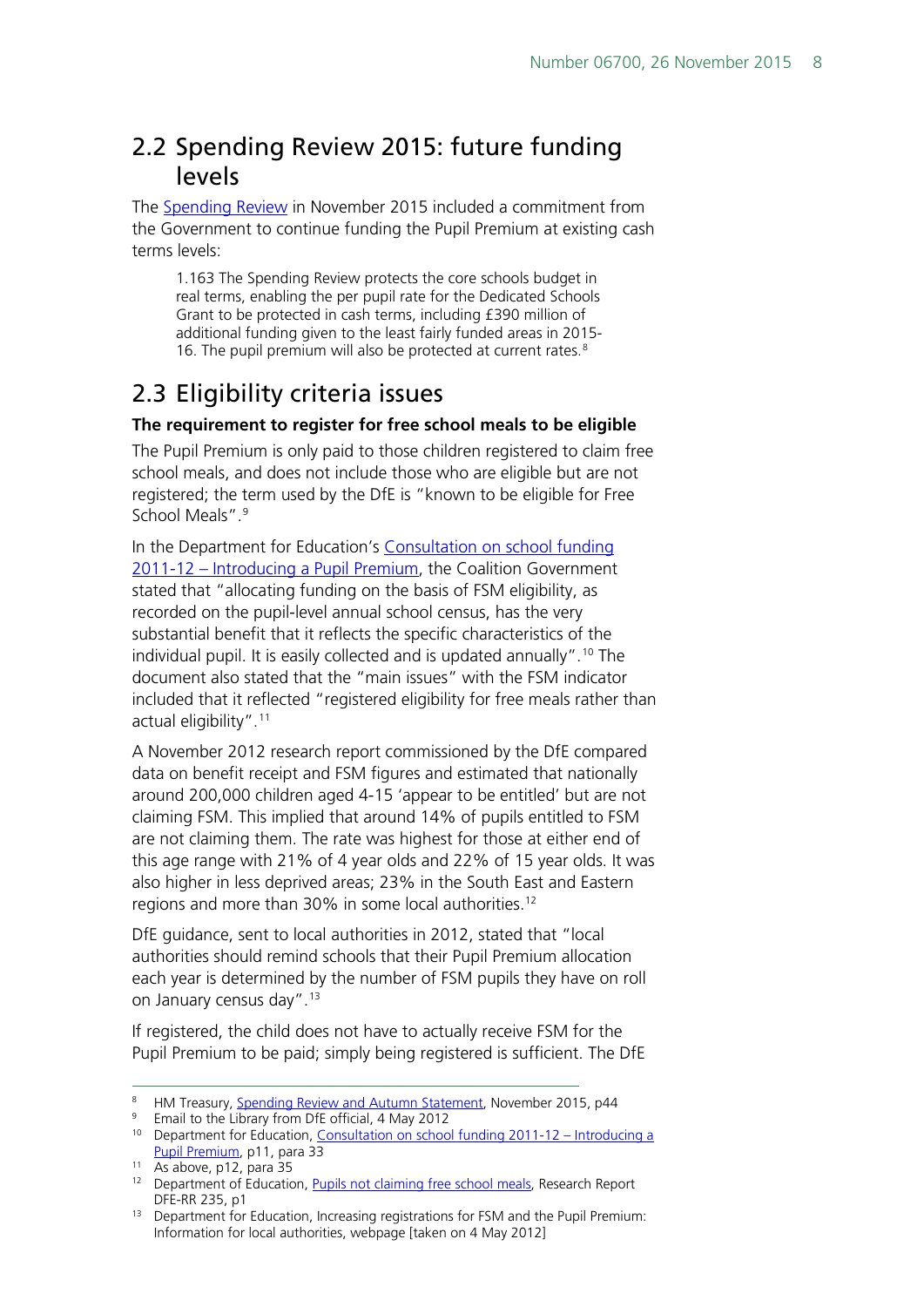## <span id="page-7-0"></span>2.2 Spending Review 2015: future funding levels

The [Spending Review](https://www.gov.uk/government/uploads/system/uploads/attachment_data/file/479749/52229_Blue_Book_PU1865_Web_Accessible.pdf) in November 2015 included a commitment from the Government to continue funding the Pupil Premium at existing cash terms levels:

1.163 The Spending Review protects the core schools budget in real terms, enabling the per pupil rate for the Dedicated Schools Grant to be protected in cash terms, including £390 million of additional funding given to the least fairly funded areas in 2015- 16. The pupil premium will also be protected at current rates.<sup>[8](#page-7-2)</sup>

## <span id="page-7-1"></span>2.3 Eligibility criteria issues

### **The requirement to register for free school meals to be eligible**

The Pupil Premium is only paid to those children registered to claim free school meals, and does not include those who are eligible but are not registered; the term used by the DfE is "known to be eligible for Free School Meals".<sup>9</sup>

In the Department for Education's [Consultation on school funding](http://www.education.gov.uk/consultations/downloadableDocs/School%20Funding%20Consultation%20Document.pdf)  2011-12 – [Introducing a Pupil Premium,](http://www.education.gov.uk/consultations/downloadableDocs/School%20Funding%20Consultation%20Document.pdf) the Coalition Government stated that "allocating funding on the basis of FSM eligibility, as recorded on the pupil-level annual school census, has the very substantial benefit that it reflects the specific characteristics of the individual pupil. It is easily collected and is updated annually".<sup>[10](#page-7-4)</sup> The document also stated that the "main issues" with the FSM indicator included that it reflected "registered eligibility for free meals rather than actual eligibility".[11](#page-7-5)

A November 2012 research report commissioned by the DfE compared data on benefit receipt and FSM figures and estimated that nationally around 200,000 children aged 4-15 'appear to be entitled' but are not claiming FSM. This implied that around 14% of pupils entitled to FSM are not claiming them. The rate was highest for those at either end of this age range with 21% of 4 year olds and 22% of 15 year olds. It was also higher in less deprived areas; 23% in the South East and Eastern regions and more than 30% in some local authorities.<sup>[12](#page-7-6)</sup>

DfE guidance, sent to local authorities in 2012, stated that "local authorities should remind schools that their Pupil Premium allocation each year is determined by the number of FSM pupils they have on roll on January census day".<sup>[13](#page-7-7)</sup>

If registered, the child does not have to actually receive FSM for the Pupil Premium to be paid; simply being registered is sufficient. The DfE

<span id="page-7-3"></span><sup>9</sup> Email to the Library from DfE official, 4 May 2012

<span id="page-7-2"></span><sup>&</sup>lt;sup>8</sup> HM Treasury, [Spending Review and Autumn Statement,](https://www.gov.uk/government/uploads/system/uploads/attachment_data/file/479749/52229_Blue_Book_PU1865_Web_Accessible.pdf) November 2015, p44

<span id="page-7-4"></span><sup>&</sup>lt;sup>10</sup> Department for Education, [Consultation on school funding 2011-12 –](http://www.education.gov.uk/consultations/downloadableDocs/School%20Funding%20Consultation%20Document.pdf) Introducing a [Pupil Premium,](http://www.education.gov.uk/consultations/downloadableDocs/School%20Funding%20Consultation%20Document.pdf) p11, para 33

<span id="page-7-5"></span> $11$  As above, p12, para 35

<span id="page-7-6"></span><sup>&</sup>lt;sup>12</sup> Department of Education, [Pupils not claiming free school meals,](https://www.gov.uk/government/uploads/system/uploads/attachment_data/file/183380/DFE-RR235.pdf) Research Report DFE-RR 235, p1

<span id="page-7-7"></span><sup>&</sup>lt;sup>13</sup> Department for Education, Increasing registrations for FSM and the Pupil Premium: Information for local authorities, webpage [taken on 4 May 2012]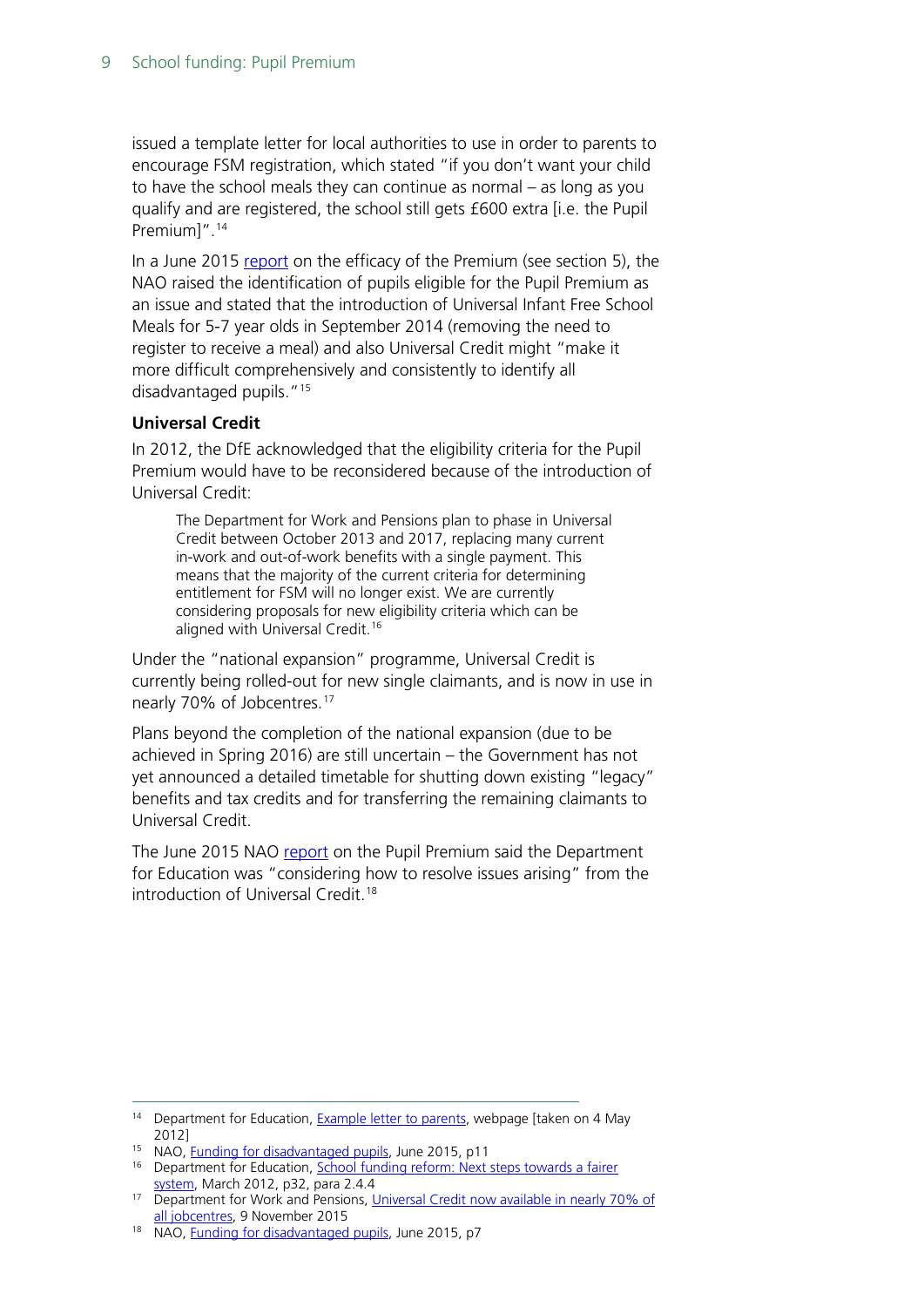issued a template letter for local authorities to use in order to parents to encourage FSM registration, which stated "if you don't want your child to have the school meals they can continue as normal – as long as you qualify and are registered, the school still gets £600 extra [i.e. the Pupil Premium]".<sup>[14](#page-8-0)</sup>

In a June 2015 [report](http://www.nao.org.uk/wp-content/uploads/2015/06/Funding-for-disadvantaged-pupils.pdf) on the efficacy of the Premium (see section 5), the NAO raised the identification of pupils eligible for the Pupil Premium as an issue and stated that the introduction of Universal Infant Free School Meals for 5-7 year olds in September 2014 (removing the need to register to receive a meal) and also Universal Credit might "make it more difficult comprehensively and consistently to identify all disadvantaged pupils."[15](#page-8-1)

### **Universal Credit**

In 2012, the DfE acknowledged that the eligibility criteria for the Pupil Premium would have to be reconsidered because of the introduction of Universal Credit:

The Department for Work and Pensions plan to phase in Universal Credit between October 2013 and 2017, replacing many current in-work and out-of-work benefits with a single payment. This means that the majority of the current criteria for determining entitlement for FSM will no longer exist. We are currently considering proposals for new eligibility criteria which can be aligned with Universal Credit.<sup>[16](#page-8-2)</sup>

Under the "national expansion" programme, Universal Credit is currently being rolled-out for new single claimants, and is now in use in nearly 70% of Jobcentres.[17](#page-8-3)

Plans beyond the completion of the national expansion (due to be achieved in Spring 2016) are still uncertain – the Government has not yet announced a detailed timetable for shutting down existing "legacy" benefits and tax credits and for transferring the remaining claimants to Universal Credit.

The June 2015 NAO [report](http://www.nao.org.uk/wp-content/uploads/2015/06/Funding-for-disadvantaged-pupils.pdf) on the Pupil Premium said the Department for Education was "considering how to resolve issues arising" from the introduction of Universal Credit<sup>[18](#page-8-4)</sup>

<span id="page-8-0"></span><sup>&</sup>lt;sup>14</sup> Department for Education, **Example letter to parents**, webpage [taken on 4 May 2012]<br><sup>15</sup> NAO, <u>Funding for disadvantaged pupils</u>, June 2015, p11

<span id="page-8-2"></span><span id="page-8-1"></span><sup>&</sup>lt;sup>16</sup> Department for Education, School funding reform: Next steps towards a fairer [system,](http://media.education.gov.uk/assets/files/pdf/s/school%20funding%20reform%20-%20next%20steps%20towards%20a%20fairer%20system.pdf) March 2012, p32, para 2.4.4

<span id="page-8-3"></span><sup>&</sup>lt;sup>17</sup> Department for Work and Pensions, Universal Credit now available in nearly 70% of [all jobcentres,](https://www.gov.uk/government/news/universal-credit-now-available-in-nearly-70-of-all-jobcentres) 9 November 2015

<span id="page-8-4"></span><sup>&</sup>lt;sup>18</sup> NAO, [Funding for disadvantaged pupils,](http://www.nao.org.uk/wp-content/uploads/2015/06/Funding-for-disadvantaged-pupils.pdf) June 2015, p7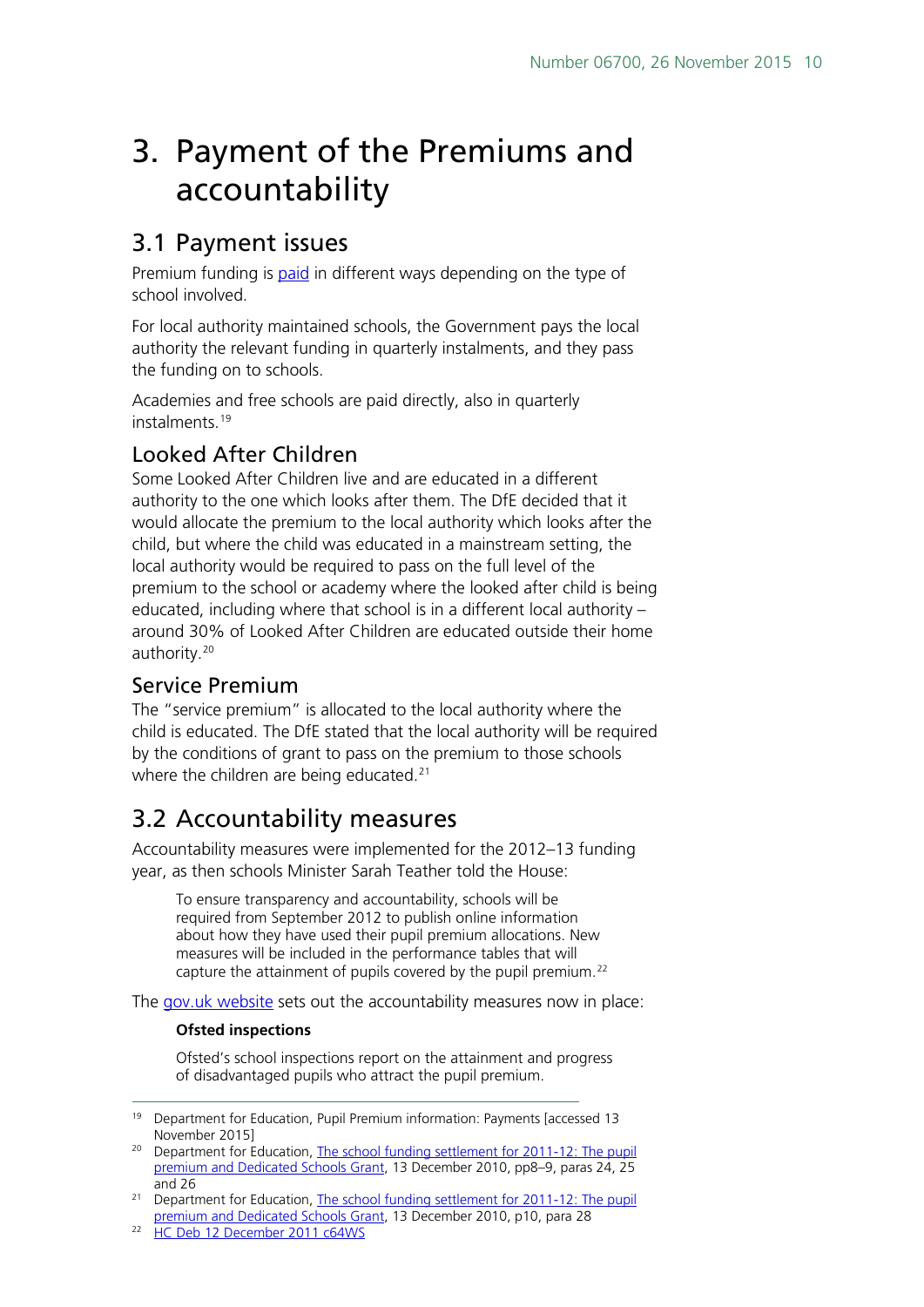## <span id="page-9-0"></span>3. Payment of the Premiums and accountability

### <span id="page-9-1"></span>3.1 Payment issues

Premium funding is [paid](https://www.gov.uk/guidance/pupil-premium-information-for-schools-and-alternative-provision-settings#payments) in different ways depending on the type of school involved.

For local authority maintained schools, the Government pays the local authority the relevant funding in quarterly instalments, and they pass the funding on to schools.

Academies and free schools are paid directly, also in quarterly instalments.[19](#page-9-5)

### <span id="page-9-2"></span>Looked After Children

Some Looked After Children live and are educated in a different authority to the one which looks after them. The DfE decided that it would allocate the premium to the local authority which looks after the child, but where the child was educated in a mainstream setting, the local authority would be required to pass on the full level of the premium to the school or academy where the looked after child is being educated, including where that school is in a different local authority – around 30% of Looked After Children are educated outside their home authority.[20](#page-9-6)

### <span id="page-9-3"></span>Service Premium

The "service premium" is allocated to the local authority where the child is educated. The DfE stated that the local authority will be required by the conditions of grant to pass on the premium to those schools where the children are being educated.<sup>[21](#page-9-7)</sup>

### <span id="page-9-4"></span>3.2 Accountability measures

Accountability measures were implemented for the 2012–13 funding year, as then schools Minister Sarah Teather told the House:

To ensure transparency and accountability, schools will be required from September 2012 to publish online information about how they have used their pupil premium allocations. New measures will be included in the performance tables that will capture the attainment of pupils covered by the pupil premium.<sup>[22](#page-9-8)</sup>

The [gov.uk website](https://www.gov.uk/guidance/pupil-premium-information-for-schools-and-alternative-provision-settings#accountability) sets out the accountability measures now in place:

### **Ofsted inspections**

Ofsted's school inspections report on the attainment and progress of disadvantaged pupils who attract the pupil premium.

<span id="page-9-5"></span><sup>&</sup>lt;sup>19</sup> Department for Education, Pupil Premium information: Payments [accessed 13 November 2015]

<span id="page-9-6"></span><sup>&</sup>lt;sup>20</sup> Department for Education, The school funding settlement for 2011-12: The pupil [premium and Dedicated Schools Grant,](http://media.education.gov.uk/assets/files/pdf/t/the%20school%20funding%20settlement%20for%202011%2012%20the%20pupil%20premium%20and%20dedicated%20schools%20grant.pdf) 13 December 2010, pp8–9, paras 24, 25 and 26

<span id="page-9-7"></span><sup>&</sup>lt;sup>21</sup> Department for Education, The school funding settlement for 2011-12: The pupil [premium and Dedicated Schools Grant,](http://media.education.gov.uk/assets/files/pdf/t/the%20school%20funding%20settlement%20for%202011%2012%20the%20pupil%20premium%20and%20dedicated%20schools%20grant.pdf) 13 December 2010, p10, para 28

<span id="page-9-8"></span><sup>&</sup>lt;sup>22</sup> [HC Deb 12 December 2011 c64WS](http://www.publications.parliament.uk/pa/cm201011/cmhansrd/cm111212/wmstext/111212m0001.htm)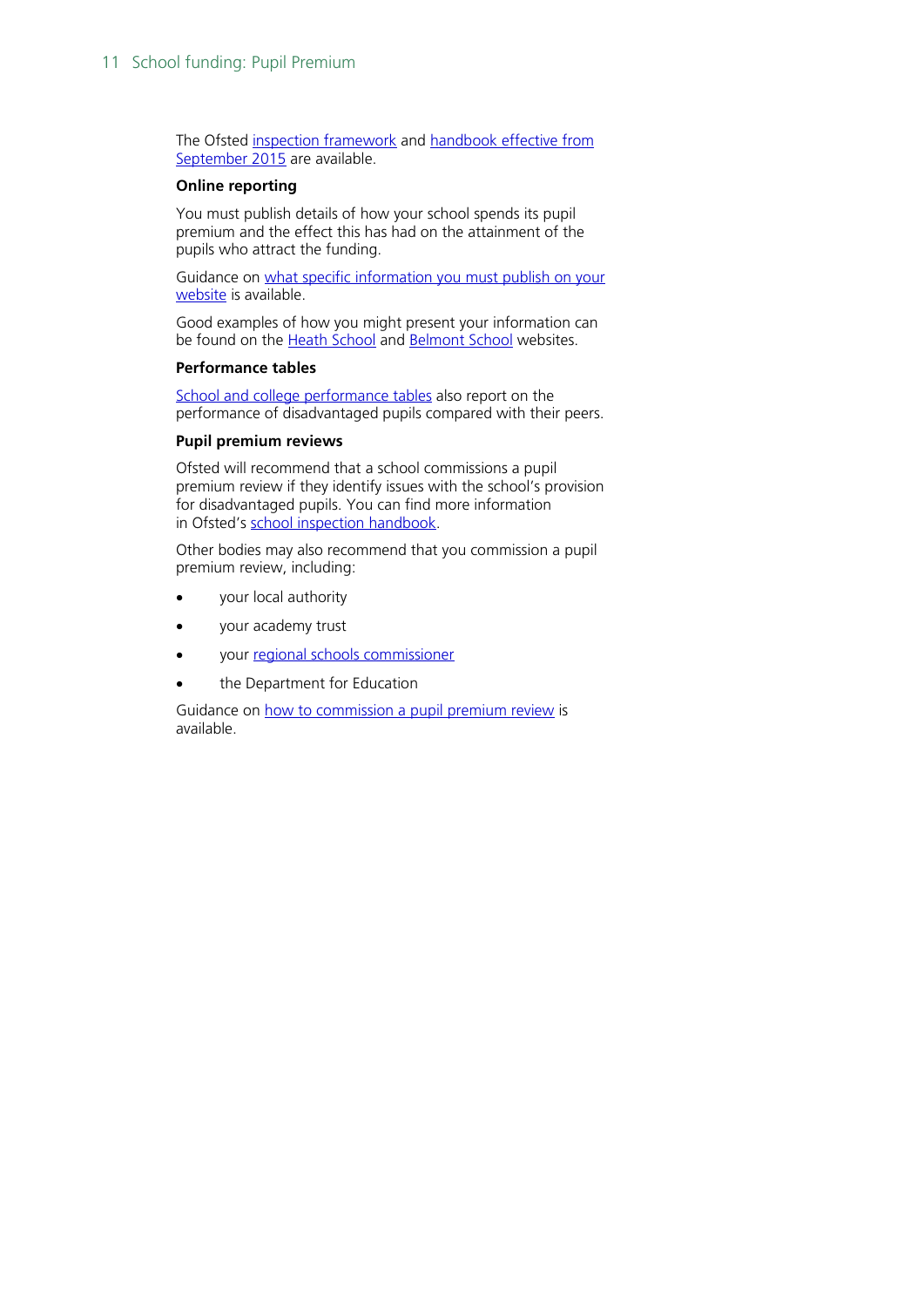The Ofsted [inspection framework](https://www.gov.uk/government/publications/the-framework-for-school-inspection) and [handbook effective from](https://www.gov.uk/government/publications/school-inspection-handbook-from-september-2015)  [September 2015](https://www.gov.uk/government/publications/school-inspection-handbook-from-september-2015) are available.

#### **Online reporting**

You must publish details of how your school spends its pupil premium and the effect this has had on the attainment of the pupils who attract the funding.

Guidance on what specific information you must publish on your [website](https://www.gov.uk/what-maintained-schools-must-publish-online#pupil-premium) is available.

Good examples of how you might present your information can be found on the [Heath School](http://www.heathschool.org.uk/?page_id=436) and [Belmont School](http://www.schooljotter.com/showpage.php?id=195235) websites.

#### **Performance tables**

[School and college performance tables](http://www.education.gov.uk/schools/performance/) also report on the performance of disadvantaged pupils compared with their peers.

#### **Pupil premium reviews**

Ofsted will recommend that a school commissions a pupil premium review if they identify issues with the school's provision for disadvantaged pupils. You can find more information in Ofsted's [school inspection handbook.](https://www.gov.uk/government/publications/school-inspection-handbook-from-september-2015)

Other bodies may also recommend that you commission a pupil premium review, including:

- your local authority
- your academy trust
- your [regional schools commissioner](https://www.gov.uk/government/policies/increasing-the-number-of-academies-and-free-schools-to-create-a-better-and-more-diverse-school-system/supporting-pages/regional-schools-commissioners-rscs)
- the Department for Education

Guidance on [how to commission a pupil premium review](https://www.gov.uk/pupil-premium-reviews) is available.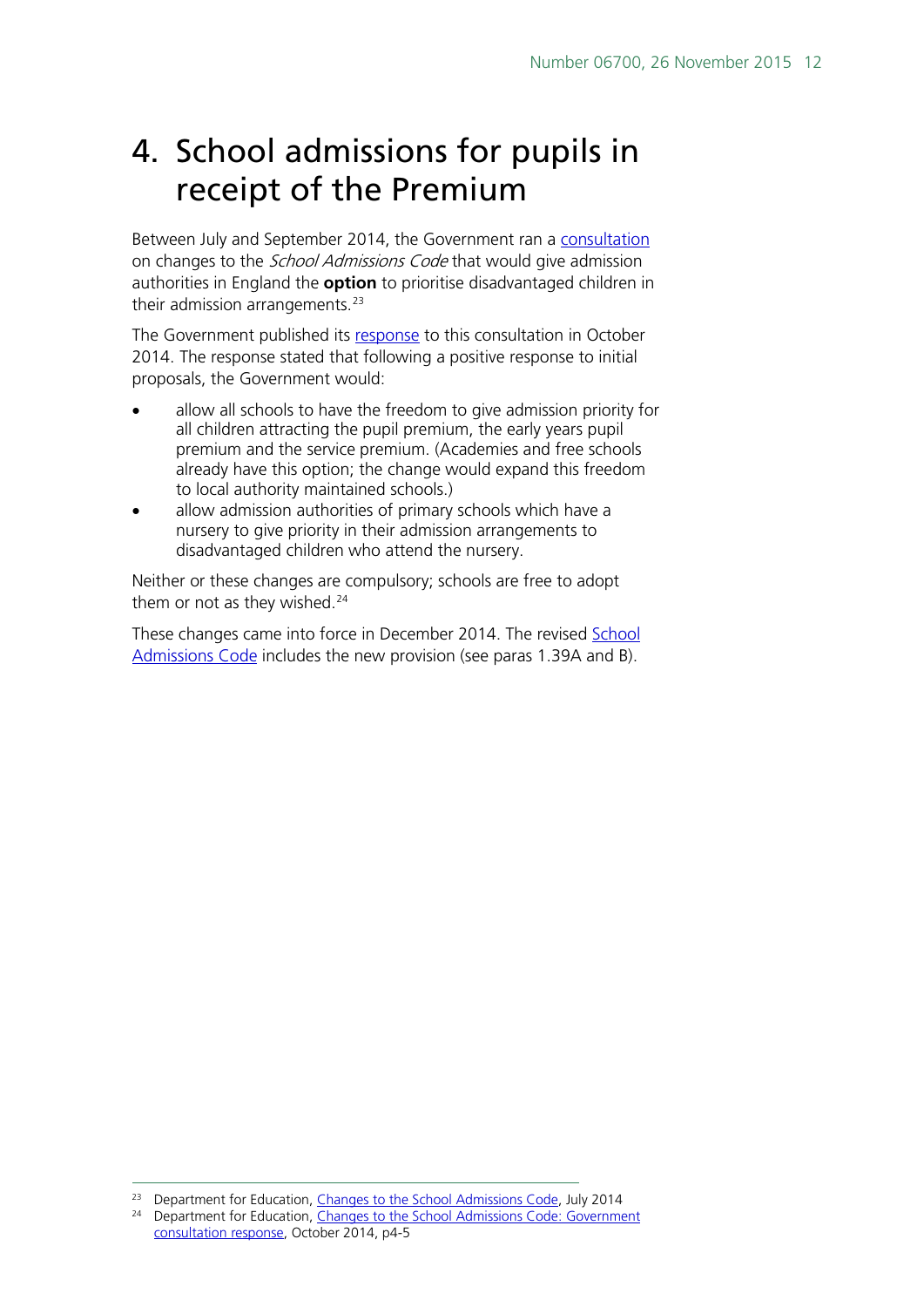## <span id="page-11-0"></span>4. School admissions for pupils in receipt of the Premium

Between July and September 2014, the Government ran a [consultation](https://www.gov.uk/government/uploads/system/uploads/attachment_data/file/333419/Changes_to_the_School_Admissions_Code_Consultation_Document.pdf) on changes to the *School Admissions Code* that would give admission authorities in England the **option** to prioritise disadvantaged children in their admission arrangements. $23$ 

The Government published its [response](file:///%5C%5Chpap03f%5CDIS%5CHomedrives%5Cfosterda%5CStandard%20Notes%5CPupil%20Premium%5CAcademies%20and%20free%20schools%20currently%20have%20the%20option%20to%20adopt%20a%20policy%20of%20priority%20for%20pupil%20premium%20students,%20through%20the%20terms%20of%20their%20funding%20agreement;%20the%20former%20change%20would%20expand%20this%20freedom%20to%20local%20authority%20maintained%20schools.) to this consultation in October 2014. The response stated that following a positive response to initial proposals, the Government would:

- allow all schools to have the freedom to give admission priority for all children attracting the pupil premium, the early years pupil premium and the service premium. (Academies and free schools already have this option; the change would expand this freedom to local authority maintained schools.)
- allow admission authorities of primary schools which have a nursery to give priority in their admission arrangements to disadvantaged children who attend the nursery.

Neither or these changes are compulsory; schools are free to adopt them or not as they wished.<sup>[24](#page-11-2)</sup>

These changes came into force in December 2014. The revised School [Admissions Code](https://www.gov.uk/government/publications/school-admissions-code--2) includes the new provision (see paras 1.39A and B).

<span id="page-11-2"></span><span id="page-11-1"></span><sup>&</sup>lt;sup>23</sup> Department for Education, [Changes to the School Admissions Code,](https://www.gov.uk/government/uploads/system/uploads/attachment_data/file/333419/Changes_to_the_School_Admissions_Code_Consultation_Document.pdf) July 2014 <sup>24</sup> Department for Education, Changes to the School Admissions Code: Government [consultation response,](https://www.gov.uk/government/uploads/system/uploads/attachment_data/file/368917/Revised_Admissions_Code_consultation_government_response.pdf) October 2014, p4-5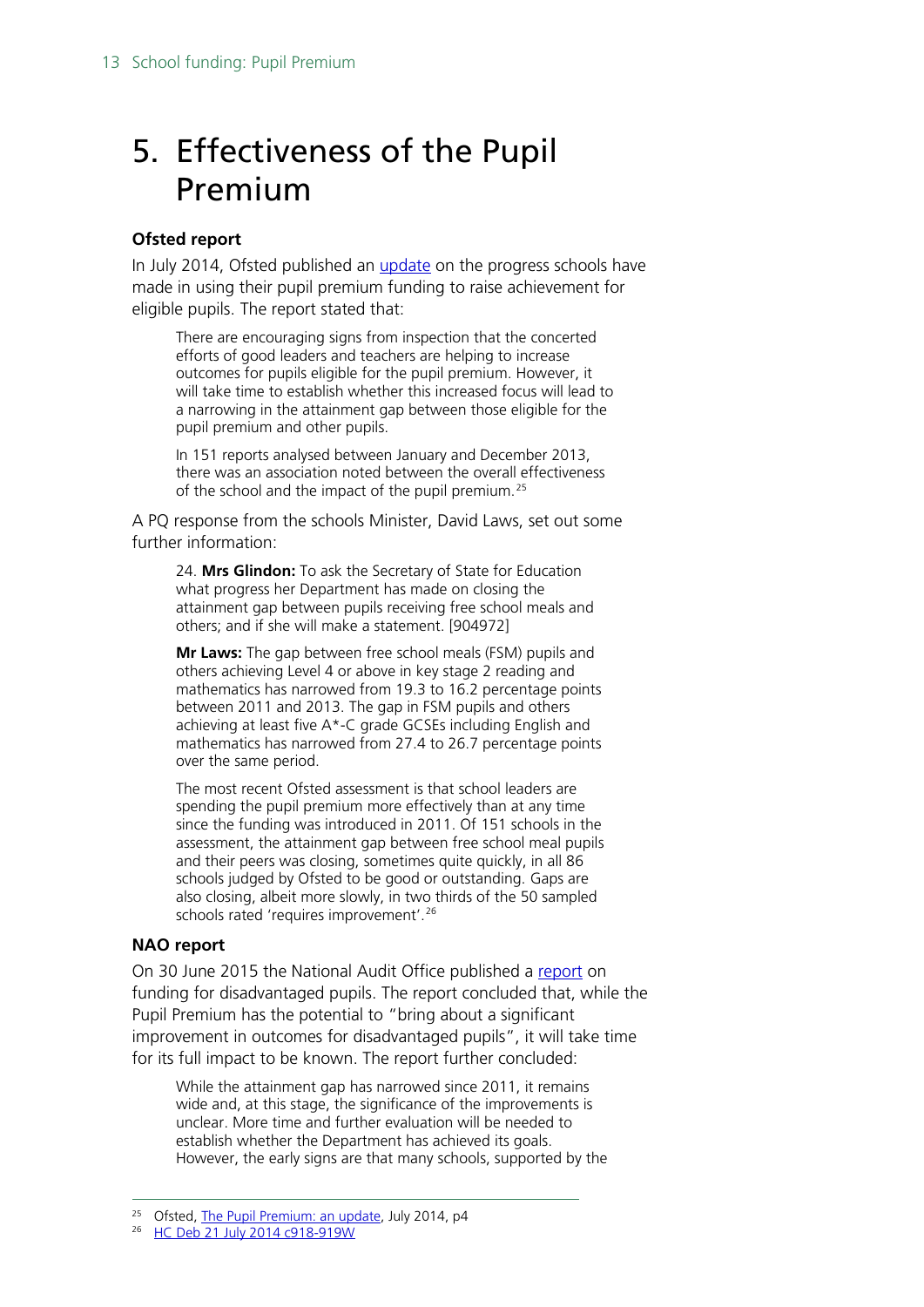## <span id="page-12-0"></span>5. Effectiveness of the Pupil Premium

### **Ofsted report**

In July 2014, Ofsted published an [update](http://www.ofsted.gov.uk/resources/pupil-premium-update) on the progress schools have made in using their pupil premium funding to raise achievement for eligible pupils. The report stated that:

There are encouraging signs from inspection that the concerted efforts of good leaders and teachers are helping to increase outcomes for pupils eligible for the pupil premium. However, it will take time to establish whether this increased focus will lead to a narrowing in the attainment gap between those eligible for the pupil premium and other pupils.

In 151 reports analysed between January and December 2013, there was an association noted between the overall effectiveness of the school and the impact of the pupil premium.<sup>[25](#page-12-1)</sup>

A PQ response from the schools Minister, David Laws, set out some further information:

24. **Mrs Glindon:** To ask the Secretary of State for Education what progress her Department has made on closing the attainment gap between pupils receiving free school meals and others; and if she will make a statement. [904972]

**Mr Laws:** The gap between free school meals (FSM) pupils and others achieving Level 4 or above in key stage 2 reading and mathematics has narrowed from 19.3 to 16.2 percentage points between 2011 and 2013. The gap in FSM pupils and others achieving at least five A\*-C grade GCSEs including English and mathematics has narrowed from 27.4 to 26.7 percentage points over the same period.

The most recent Ofsted assessment is that school leaders are spending the pupil premium more effectively than at any time since the funding was introduced in 2011. Of 151 schools in the assessment, the attainment gap between free school meal pupils and their peers was closing, sometimes quite quickly, in all 86 schools judged by Ofsted to be good or outstanding. Gaps are also closing, albeit more slowly, in two thirds of the 50 sampled schools rated 'requires improvement'.<sup>[26](#page-12-2)</sup>

#### **NAO report**

On 30 June 2015 the National Audit Office published a [report](http://www.nao.org.uk/wp-content/uploads/2015/06/Funding-for-disadvantaged-pupils.pdf) on funding for disadvantaged pupils. The report concluded that, while the Pupil Premium has the potential to "bring about a significant improvement in outcomes for disadvantaged pupils", it will take time for its full impact to be known. The report further concluded:

While the attainment gap has narrowed since 2011, it remains wide and, at this stage, the significance of the improvements is unclear. More time and further evaluation will be needed to establish whether the Department has achieved its goals. However, the early signs are that many schools, supported by the

<span id="page-12-1"></span><sup>&</sup>lt;sup>25</sup> Ofsted, [The Pupil Premium: an update,](http://www.ofsted.gov.uk/sites/default/files/documents/surveys-and-good-practice/t/The%20pupil%20premium%20-%20an%20update.pdf) July 2014, p4

<span id="page-12-2"></span><sup>&</sup>lt;sup>26</sup> [HC Deb 21 July 2014 c918-919W](http://www.publications.parliament.uk/pa/cm201415/cmhansrd/cm140721/text/140721w0003.htm#14072134003315)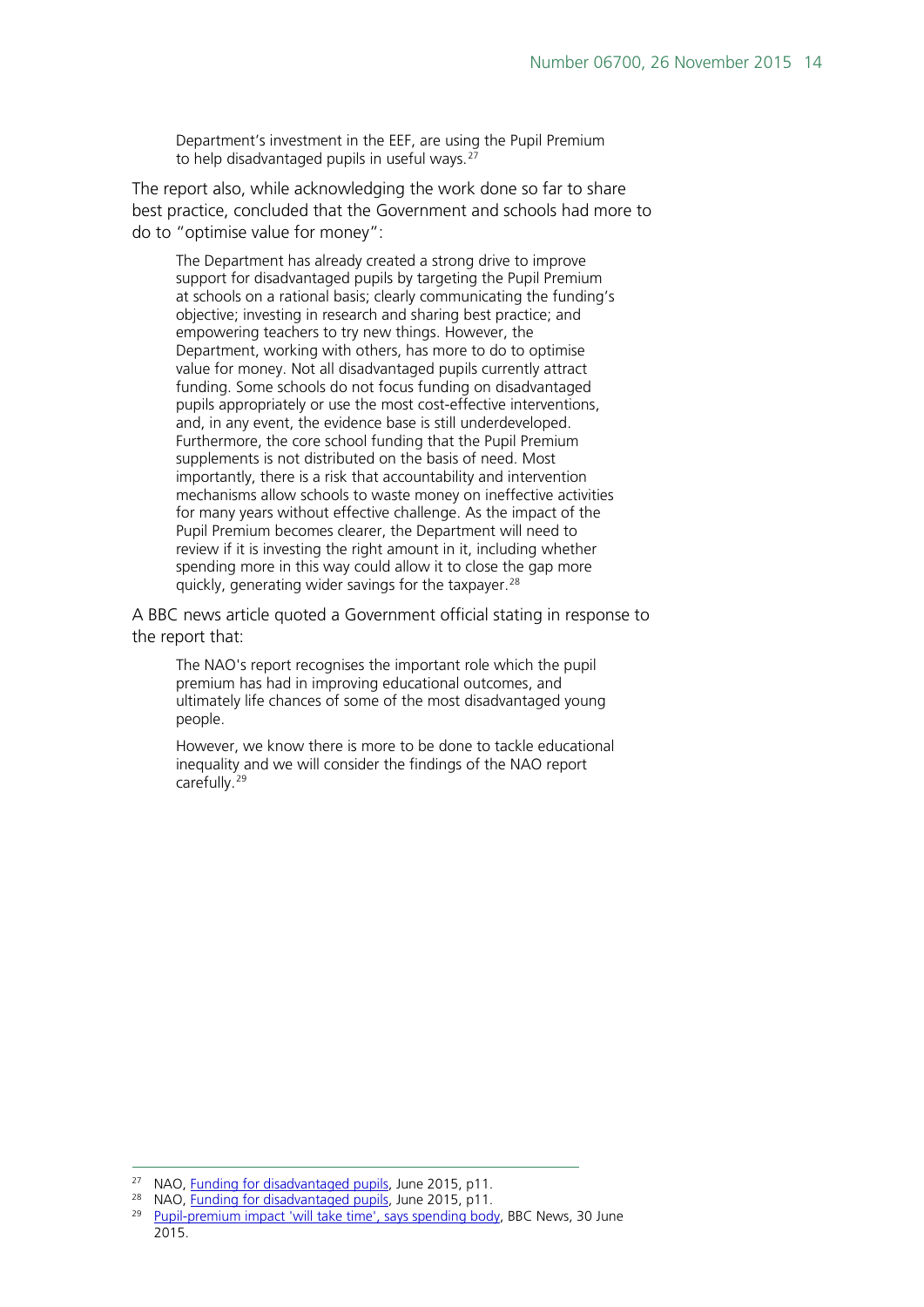Department's investment in the EEF, are using the Pupil Premium to help disadvantaged pupils in useful ways.<sup>[27](#page-13-0)</sup>

The report also, while acknowledging the work done so far to share best practice, concluded that the Government and schools had more to do to "optimise value for money":

The Department has already created a strong drive to improve support for disadvantaged pupils by targeting the Pupil Premium at schools on a rational basis; clearly communicating the funding's objective; investing in research and sharing best practice; and empowering teachers to try new things. However, the Department, working with others, has more to do to optimise value for money. Not all disadvantaged pupils currently attract funding. Some schools do not focus funding on disadvantaged pupils appropriately or use the most cost-effective interventions, and, in any event, the evidence base is still underdeveloped. Furthermore, the core school funding that the Pupil Premium supplements is not distributed on the basis of need. Most importantly, there is a risk that accountability and intervention mechanisms allow schools to waste money on ineffective activities for many years without effective challenge. As the impact of the Pupil Premium becomes clearer, the Department will need to review if it is investing the right amount in it, including whether spending more in this way could allow it to close the gap more quickly, generating wider savings for the taxpayer.<sup>[28](#page-13-1)</sup>

A BBC news article quoted a Government official stating in response to the report that:

The NAO's report recognises the important role which the pupil premium has had in improving educational outcomes, and ultimately life chances of some of the most disadvantaged young people.

However, we know there is more to be done to tackle educational inequality and we will consider the findings of the NAO report carefully.<sup>[29](#page-13-2)</sup>

<span id="page-13-0"></span><sup>&</sup>lt;sup>27</sup> NAO, [Funding for disadvantaged pupils,](http://www.nao.org.uk/wp-content/uploads/2015/06/Funding-for-disadvantaged-pupils.pdf) June 2015, p11.

<span id="page-13-2"></span><span id="page-13-1"></span><sup>&</sup>lt;sup>28</sup> NAO, <u>Funding for disadvantaged pupils</u>, June 2015, p11.

[Pupil-premium impact 'will take time', says spending body,](http://www.bbc.co.uk/news/education-33314885) BBC News, 30 June 2015.